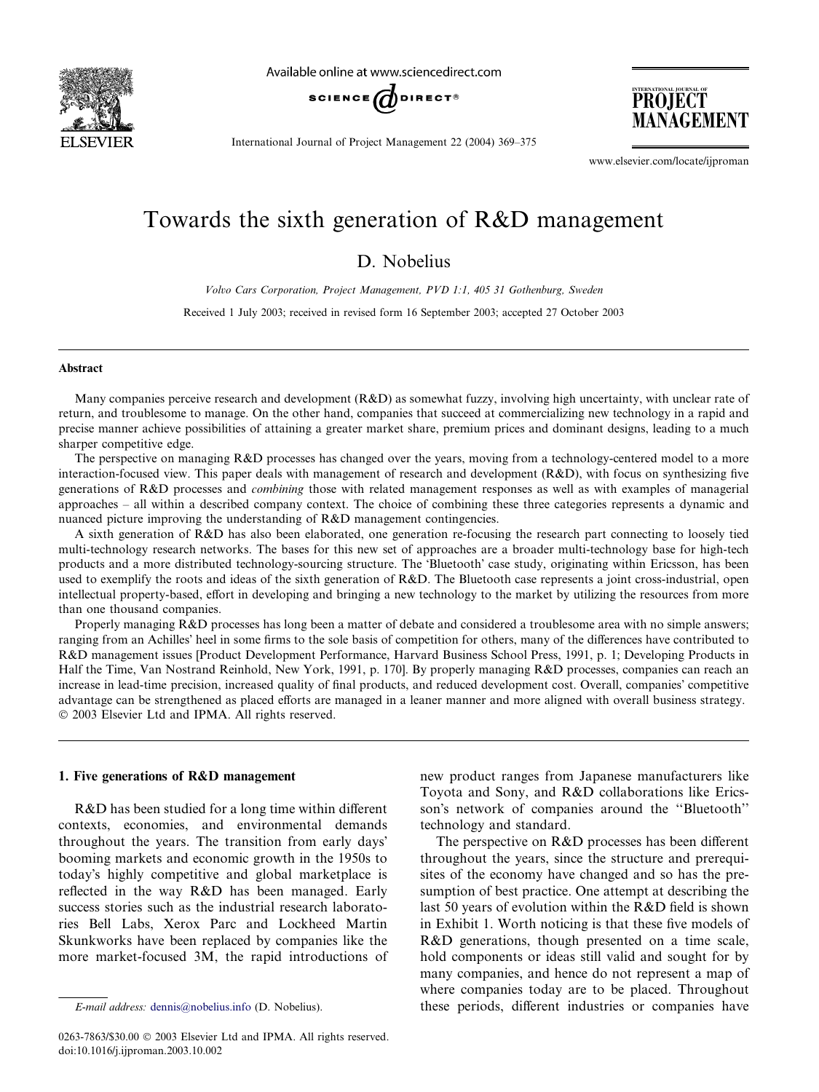

Available online at www.sciencedirect.com



International Journal of Project Management 22 (2004) 369–375

www.elsevier.com/locate/ijproman

PROJECT MANAGEMENT

## Towards the sixth generation of R&D management

D. Nobelius

Volvo Cars Corporation, Project Management, PVD 1:1, 405 31 Gothenburg, Sweden Received 1 July 2003; received in revised form 16 September 2003; accepted 27 October 2003

## Abstract

Many companies perceive research and development (R&D) as somewhat fuzzy, involving high uncertainty, with unclear rate of return, and troublesome to manage. On the other hand, companies that succeed at commercializing new technology in a rapid and precise manner achieve possibilities of attaining a greater market share, premium prices and dominant designs, leading to a much sharper competitive edge.

The perspective on managing R&D processes has changed over the years, moving from a technology-centered model to a more interaction-focused view. This paper deals with management of research and development (R&D), with focus on synthesizing five generations of R&D processes and combining those with related management responses as well as with examples of managerial approaches – all within a described company context. The choice of combining these three categories represents a dynamic and nuanced picture improving the understanding of R&D management contingencies.

A sixth generation of R&D has also been elaborated, one generation re-focusing the research part connecting to loosely tied multi-technology research networks. The bases for this new set of approaches are a broader multi-technology base for high-tech products and a more distributed technology-sourcing structure. The 'Bluetooth' case study, originating within Ericsson, has been used to exemplify the roots and ideas of the sixth generation of R&D. The Bluetooth case represents a joint cross-industrial, open intellectual property-based, effort in developing and bringing a new technology to the market by utilizing the resources from more than one thousand companies.

Properly managing R&D processes has long been a matter of debate and considered a troublesome area with no simple answers; ranging from an Achilles' heel in some firms to the sole basis of competition for others, many of the differences have contributed to R&D management issues [Product Development Performance, Harvard Business School Press, 1991, p. 1; Developing Products in Half the Time, Van Nostrand Reinhold, New York, 1991, p. 170]. By properly managing R&D processes, companies can reach an increase in lead-time precision, increased quality of final products, and reduced development cost. Overall, companies' competitive advantage can be strengthened as placed efforts are managed in a leaner manner and more aligned with overall business strategy. 2003 Elsevier Ltd and IPMA. All rights reserved.

## 1. Five generations of R&D management

R&D has been studied for a long time within different contexts, economies, and environmental demands throughout the years. The transition from early days' booming markets and economic growth in the 1950s to today's highly competitive and global marketplace is reflected in the way R&D has been managed. Early success stories such as the industrial research laboratories Bell Labs, Xerox Parc and Lockheed Martin Skunkworks have been replaced by companies like the more market-focused 3M, the rapid introductions of new product ranges from Japanese manufacturers like Toyota and Sony, and R&D collaborations like Ericsson's network of companies around the "Bluetooth" technology and standard.

The perspective on R&D processes has been different throughout the years, since the structure and prerequisites of the economy have changed and so has the presumption of best practice. One attempt at describing the last 50 years of evolution within the R&D field is shown in Exhibit 1. Worth noticing is that these five models of R&D generations, though presented on a time scale, hold components or ideas still valid and sought for by many companies, and hence do not represent a map of where companies today are to be placed. Throughout these periods, different industries or companies have

E-mail address: [dennis@nobelius.info](mail to: dennis@nobelius.info) (D. Nobelius).

<sup>0263-7863/\$30.00</sup>  $\odot$  2003 Elsevier Ltd and IPMA. All rights reserved. doi:10.1016/j.ijproman.2003.10.002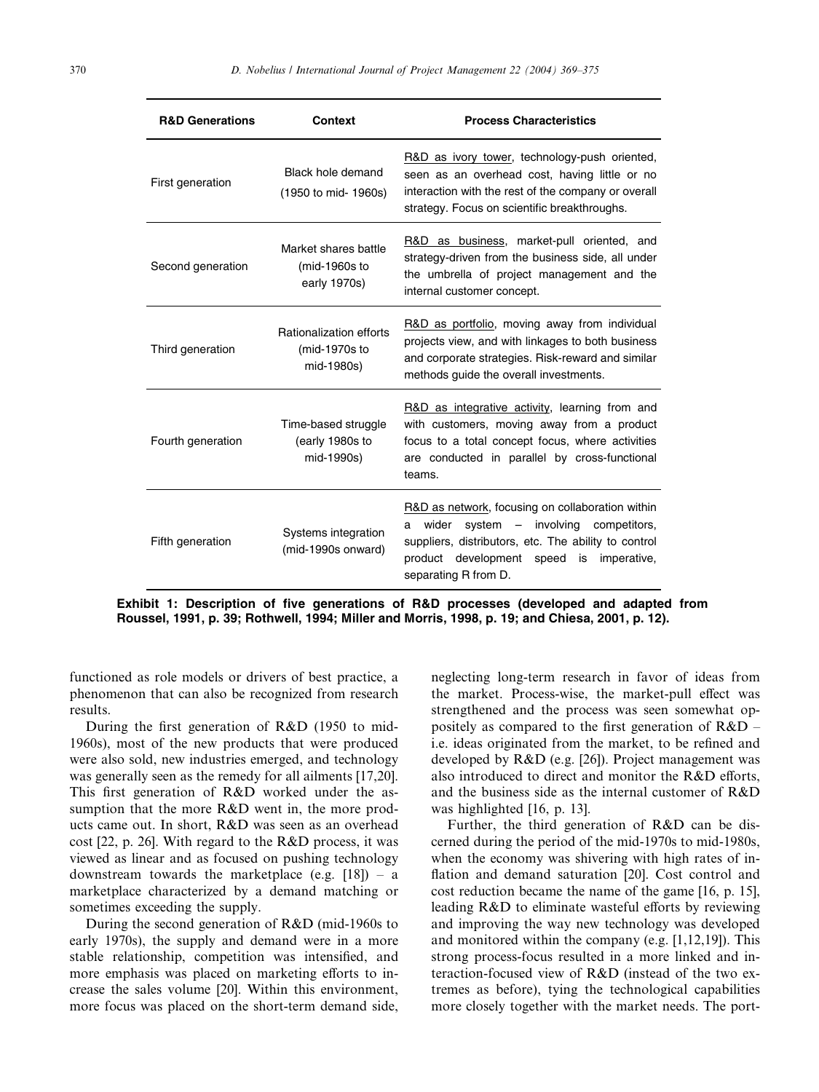| <b>R&amp;D Generations</b> | Context                                                       | <b>Process Characteristics</b>                                                                                                                                                                                                         |
|----------------------------|---------------------------------------------------------------|----------------------------------------------------------------------------------------------------------------------------------------------------------------------------------------------------------------------------------------|
| First generation           | Black hole demand<br>(1950 to mid- 1960s)                     | R&D as ivory tower, technology-push oriented,<br>seen as an overhead cost, having little or no<br>interaction with the rest of the company or overall<br>strategy. Focus on scientific breakthroughs.                                  |
| Second generation          | Market shares battle<br>(mid-1960s to<br>early 1970s)         | R&D as business, market-pull oriented, and<br>strategy-driven from the business side, all under<br>the umbrella of project management and the<br>internal customer concept.                                                            |
| Third generation           | <b>Rationalization efforts</b><br>(mid-1970s to<br>mid-1980s) | R&D as portfolio, moving away from individual<br>projects view, and with linkages to both business<br>and corporate strategies. Risk-reward and similar<br>methods guide the overall investments.                                      |
| Fourth generation          | Time-based struggle<br>(early 1980s to<br>mid-1990s)          | R&D as integrative activity, learning from and<br>with customers, moving away from a product<br>focus to a total concept focus, where activities<br>are conducted in parallel by cross-functional<br>teams.                            |
| Fifth generation           | Systems integration<br>(mid-1990s onward)                     | R&D as network, focusing on collaboration within<br>wider<br>– involving<br>system<br>competitors,<br>a<br>suppliers, distributors, etc. The ability to control<br>product development speed is<br>imperative,<br>separating R from D. |

**Exhibit 1: Description of five generations of R&D processes (developed and adapted from Roussel, 1991, p. 39; Rothwell, 1994; Miller and Morris, 1998, p. 19; and Chiesa, 2001, p. 12).** 

functioned as role models or drivers of best practice, a phenomenon that can also be recognized from research results.

During the first generation of R&D (1950 to mid-1960s), most of the new products that were produced were also sold, new industries emerged, and technology was generally seen as the remedy for all ailments [17,20]. This first generation of R&D worked under the assumption that the more R&D went in, the more products came out. In short, R&D was seen as an overhead cost [22, p. 26]. With regard to the R&D process, it was viewed as linear and as focused on pushing technology downstream towards the marketplace (e.g.  $[18]$ ) – a marketplace characterized by a demand matching or sometimes exceeding the supply.

During the second generation of R&D (mid-1960s to early 1970s), the supply and demand were in a more stable relationship, competition was intensified, and more emphasis was placed on marketing efforts to increase the sales volume [20]. Within this environment, more focus was placed on the short-term demand side, neglecting long-term research in favor of ideas from the market. Process-wise, the market-pull effect was strengthened and the process was seen somewhat oppositely as compared to the first generation of  $R&D$  – i.e. ideas originated from the market, to be refined and developed by R&D (e.g. [26]). Project management was also introduced to direct and monitor the R&D efforts, and the business side as the internal customer of R&D was highlighted [16, p. 13].

Further, the third generation of R&D can be discerned during the period of the mid-1970s to mid-1980s, when the economy was shivering with high rates of inflation and demand saturation [20]. Cost control and cost reduction became the name of the game [16, p. 15], leading R&D to eliminate wasteful efforts by reviewing and improving the way new technology was developed and monitored within the company (e.g. [1,12,19]). This strong process-focus resulted in a more linked and interaction-focused view of R&D (instead of the two extremes as before), tying the technological capabilities more closely together with the market needs. The port-